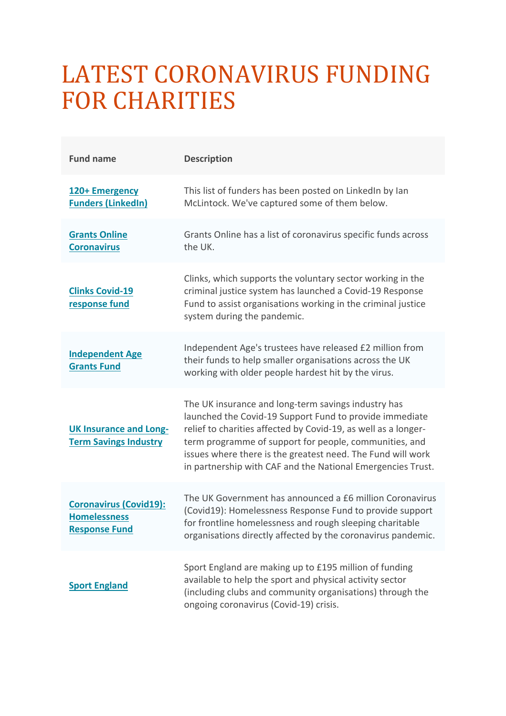## LATEST CORONAVIRUS FUNDING **FOR CHARITIES**

| <b>Fund name</b>                                                             | <b>Description</b>                                                                                                                                                                                                                                                                                                                                                       |
|------------------------------------------------------------------------------|--------------------------------------------------------------------------------------------------------------------------------------------------------------------------------------------------------------------------------------------------------------------------------------------------------------------------------------------------------------------------|
| 120+ Emergency<br><b>Funders (LinkedIn)</b>                                  | This list of funders has been posted on LinkedIn by Ian<br>McLintock. We've captured some of them below.                                                                                                                                                                                                                                                                 |
| <b>Grants Online</b><br><b>Coronavirus</b>                                   | Grants Online has a list of coronavirus specific funds across<br>the UK.                                                                                                                                                                                                                                                                                                 |
| <b>Clinks Covid-19</b><br>response fund                                      | Clinks, which supports the voluntary sector working in the<br>criminal justice system has launched a Covid-19 Response<br>Fund to assist organisations working in the criminal justice<br>system during the pandemic.                                                                                                                                                    |
| <b>Independent Age</b><br><b>Grants Fund</b>                                 | Independent Age's trustees have released £2 million from<br>their funds to help smaller organisations across the UK<br>working with older people hardest hit by the virus.                                                                                                                                                                                               |
| <b>UK Insurance and Long-</b><br><b>Term Savings Industry</b>                | The UK insurance and long-term savings industry has<br>launched the Covid-19 Support Fund to provide immediate<br>relief to charities affected by Covid-19, as well as a longer-<br>term programme of support for people, communities, and<br>issues where there is the greatest need. The Fund will work<br>in partnership with CAF and the National Emergencies Trust. |
| <b>Coronavirus (Covid19):</b><br><b>Homelessness</b><br><b>Response Fund</b> | The UK Government has announced a £6 million Coronavirus<br>(Covid19): Homelessness Response Fund to provide support<br>for frontline homelessness and rough sleeping charitable<br>organisations directly affected by the coronavirus pandemic.                                                                                                                         |
| <b>Sport England</b>                                                         | Sport England are making up to £195 million of funding<br>available to help the sport and physical activity sector<br>(including clubs and community organisations) through the<br>ongoing coronavirus (Covid-19) crisis.                                                                                                                                                |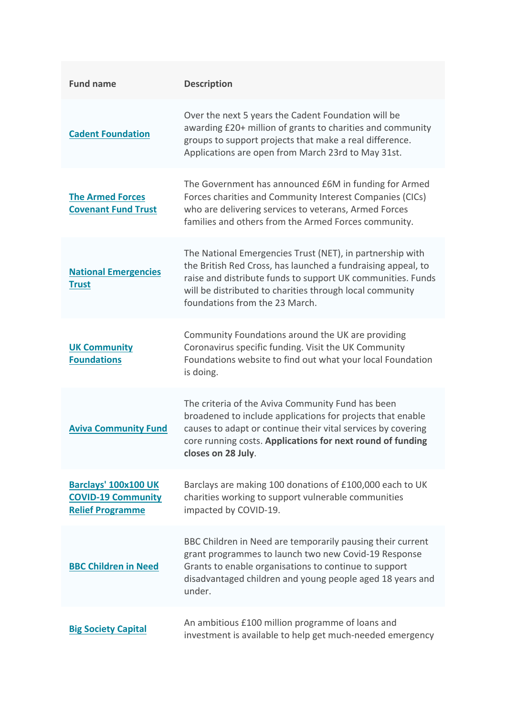| <b>Fund name</b>                                                             | <b>Description</b>                                                                                                                                                                                                                                                                     |
|------------------------------------------------------------------------------|----------------------------------------------------------------------------------------------------------------------------------------------------------------------------------------------------------------------------------------------------------------------------------------|
| <b>Cadent Foundation</b>                                                     | Over the next 5 years the Cadent Foundation will be<br>awarding £20+ million of grants to charities and community<br>groups to support projects that make a real difference.<br>Applications are open from March 23rd to May 31st.                                                     |
| <b>The Armed Forces</b><br><b>Covenant Fund Trust</b>                        | The Government has announced £6M in funding for Armed<br>Forces charities and Community Interest Companies (CICs)<br>who are delivering services to veterans, Armed Forces<br>families and others from the Armed Forces community.                                                     |
| <b>National Emergencies</b><br><b>Trust</b>                                  | The National Emergencies Trust (NET), in partnership with<br>the British Red Cross, has launched a fundraising appeal, to<br>raise and distribute funds to support UK communities. Funds<br>will be distributed to charities through local community<br>foundations from the 23 March. |
| <b>UK Community</b><br><b>Foundations</b>                                    | Community Foundations around the UK are providing<br>Coronavirus specific funding. Visit the UK Community<br>Foundations website to find out what your local Foundation<br>is doing.                                                                                                   |
| <b>Aviva Community Fund</b>                                                  | The criteria of the Aviva Community Fund has been<br>broadened to include applications for projects that enable<br>causes to adapt or continue their vital services by covering<br>core running costs. Applications for next round of funding<br>closes on 28 July.                    |
| Barclays' 100x100 UK<br><b>COVID-19 Community</b><br><b>Relief Programme</b> | Barclays are making 100 donations of £100,000 each to UK<br>charities working to support vulnerable communities<br>impacted by COVID-19.                                                                                                                                               |
| <b>BBC Children in Need</b>                                                  | BBC Children in Need are temporarily pausing their current<br>grant programmes to launch two new Covid-19 Response<br>Grants to enable organisations to continue to support<br>disadvantaged children and young people aged 18 years and<br>under.                                     |
| <b>Big Society Capital</b>                                                   | An ambitious £100 million programme of loans and<br>investment is available to help get much-needed emergency                                                                                                                                                                          |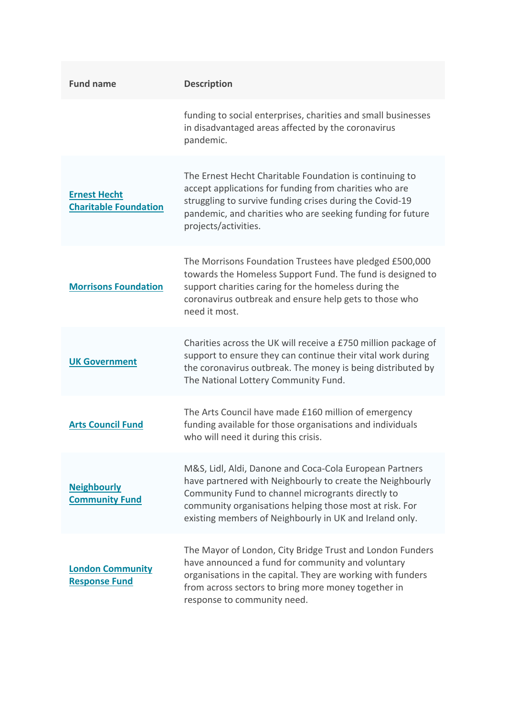| <b>Fund name</b>                                    | <b>Description</b>                                                                                                                                                                                                                                                                              |
|-----------------------------------------------------|-------------------------------------------------------------------------------------------------------------------------------------------------------------------------------------------------------------------------------------------------------------------------------------------------|
|                                                     | funding to social enterprises, charities and small businesses<br>in disadvantaged areas affected by the coronavirus<br>pandemic.                                                                                                                                                                |
| <b>Ernest Hecht</b><br><b>Charitable Foundation</b> | The Ernest Hecht Charitable Foundation is continuing to<br>accept applications for funding from charities who are<br>struggling to survive funding crises during the Covid-19<br>pandemic, and charities who are seeking funding for future<br>projects/activities.                             |
| <b>Morrisons Foundation</b>                         | The Morrisons Foundation Trustees have pledged £500,000<br>towards the Homeless Support Fund. The fund is designed to<br>support charities caring for the homeless during the<br>coronavirus outbreak and ensure help gets to those who<br>need it most.                                        |
| <b>UK Government</b>                                | Charities across the UK will receive a £750 million package of<br>support to ensure they can continue their vital work during<br>the coronavirus outbreak. The money is being distributed by<br>The National Lottery Community Fund.                                                            |
| <b>Arts Council Fund</b>                            | The Arts Council have made £160 million of emergency<br>funding available for those organisations and individuals<br>who will need it during this crisis.                                                                                                                                       |
| <b>Neighbourly</b><br><b>Community Fund</b>         | M&S, Lidl, Aldi, Danone and Coca-Cola European Partners<br>have partnered with Neighbourly to create the Neighbourly<br>Community Fund to channel microgrants directly to<br>community organisations helping those most at risk. For<br>existing members of Neighbourly in UK and Ireland only. |
| <b>London Community</b><br><b>Response Fund</b>     | The Mayor of London, City Bridge Trust and London Funders<br>have announced a fund for community and voluntary<br>organisations in the capital. They are working with funders<br>from across sectors to bring more money together in<br>response to community need.                             |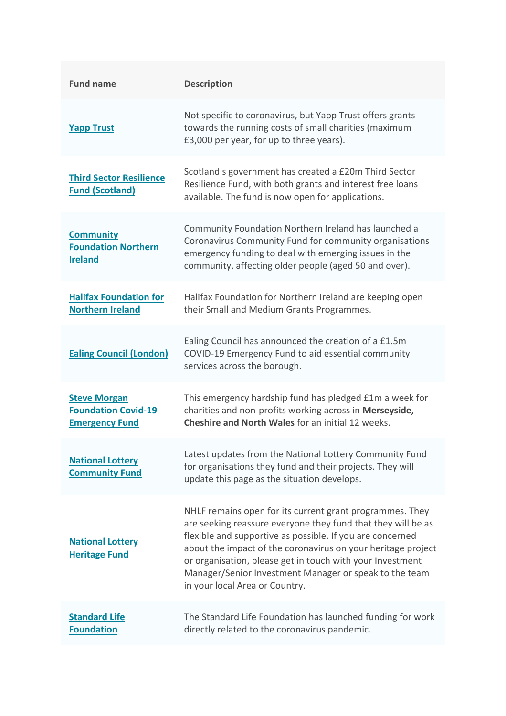| <b>Fund name</b>                                                           | <b>Description</b>                                                                                                                                                                                                                                                                                                                                                                                             |
|----------------------------------------------------------------------------|----------------------------------------------------------------------------------------------------------------------------------------------------------------------------------------------------------------------------------------------------------------------------------------------------------------------------------------------------------------------------------------------------------------|
| <b>Yapp Trust</b>                                                          | Not specific to coronavirus, but Yapp Trust offers grants<br>towards the running costs of small charities (maximum<br>£3,000 per year, for up to three years).                                                                                                                                                                                                                                                 |
| <b>Third Sector Resilience</b><br><b>Fund (Scotland)</b>                   | Scotland's government has created a £20m Third Sector<br>Resilience Fund, with both grants and interest free loans<br>available. The fund is now open for applications.                                                                                                                                                                                                                                        |
| <b>Community</b><br><b>Foundation Northern</b><br><b>Ireland</b>           | Community Foundation Northern Ireland has launched a<br>Coronavirus Community Fund for community organisations<br>emergency funding to deal with emerging issues in the<br>community, affecting older people (aged 50 and over).                                                                                                                                                                               |
| <b>Halifax Foundation for</b><br><b>Northern Ireland</b>                   | Halifax Foundation for Northern Ireland are keeping open<br>their Small and Medium Grants Programmes.                                                                                                                                                                                                                                                                                                          |
| <b>Ealing Council (London)</b>                                             | Ealing Council has announced the creation of a £1.5m<br>COVID-19 Emergency Fund to aid essential community<br>services across the borough.                                                                                                                                                                                                                                                                     |
| <b>Steve Morgan</b><br><b>Foundation Covid-19</b><br><b>Emergency Fund</b> | This emergency hardship fund has pledged £1m a week for<br>charities and non-profits working across in Merseyside,<br><b>Cheshire and North Wales for an initial 12 weeks.</b>                                                                                                                                                                                                                                 |
| <b>National Lottery</b><br><b>Community Fund</b>                           | Latest updates from the National Lottery Community Fund<br>for organisations they fund and their projects. They will<br>update this page as the situation develops.                                                                                                                                                                                                                                            |
| <b>National Lottery</b><br><b>Heritage Fund</b>                            | NHLF remains open for its current grant programmes. They<br>are seeking reassure everyone they fund that they will be as<br>flexible and supportive as possible. If you are concerned<br>about the impact of the coronavirus on your heritage project<br>or organisation, please get in touch with your Investment<br>Manager/Senior Investment Manager or speak to the team<br>in your local Area or Country. |
| <b>Standard Life</b><br><b>Foundation</b>                                  | The Standard Life Foundation has launched funding for work<br>directly related to the coronavirus pandemic.                                                                                                                                                                                                                                                                                                    |